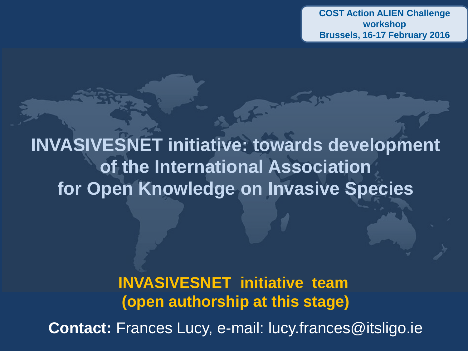**COST Action ALIEN Challenge workshop Brussels, 16-17 February 2016**

**INVASIVESNET initiative: towards development of the International Association for Open Knowledge on Invasive Species**

> **INVASIVESNET initiative team (open authorship at this stage)**

**Contact:** Frances Lucy, e-mail: lucy.frances@itsligo.ie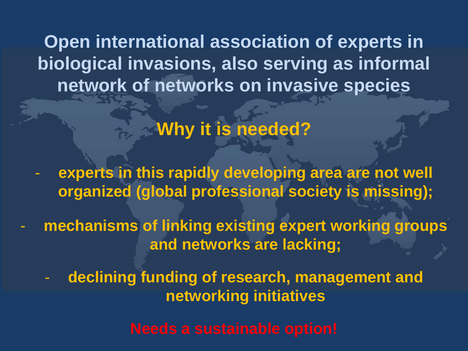**Open international association of experts in biological invasions, also serving as informal network of networks on invasive species**

**Why it is needed?** 

experts in this rapidly developing area are not well **organized (global professional society is missing);**

mechanisms of linking existing expert working groups **and networks are lacking;**

declining funding of research, management and **networking initiatives**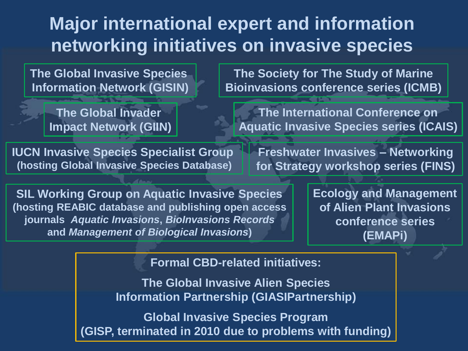# **Major international expert and information networking initiatives on invasive species**

**The Global Invasive Species Information Network (GISIN)**

> **The Global Invader Impact Network (GIIN)**

**IUCN Invasive Species Specialist Group (hosting Global Invasive Species Database)**

**The Society for The Study of Marine Bioinvasions conference series (ICMB)**

**The International Conference on Aquatic Invasive Species series (ICAIS)**

**Freshwater Invasives – Networking for Strategy workshop series (FINS)**

**SIL Working Group on Aquatic Invasive Species (hosting REABIC database and publishing open access journals** *Aquatic Invasions***,** *BioInvasions Records*  **and** *Management of Biological Invasions***)**

**Ecology and Management of Alien Plant Invasions conference series (EMAPi)**

**Formal CBD-related initiatives:**

**The Global Invasive Alien Species Information Partnership (GIASIPartnership)**

**Global Invasive Species Program (GISP, terminated in 2010 due to problems with funding)**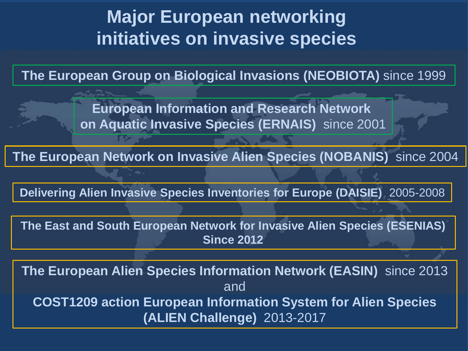## **Major European networking initiatives on invasive species**

**The European Group on Biological Invasions (NEOBIOTA)** since 1999

**European Information and Research Network on Aquatic Invasive Species (ERNAIS)** since 2001

**The European Network on Invasive Alien Species (NOBANIS)** since 2004

**Delivering Alien Invasive Species Inventories for Europe (DAISIE)** 2005-2008

**The East and South European Network for Invasive Alien Species (ESENIAS) Since 2012**

**The European Alien Species Information Network (EASIN)** since 2013 and **COST1209 action European Information System for Alien Species (ALIEN Challenge)** 2013-2017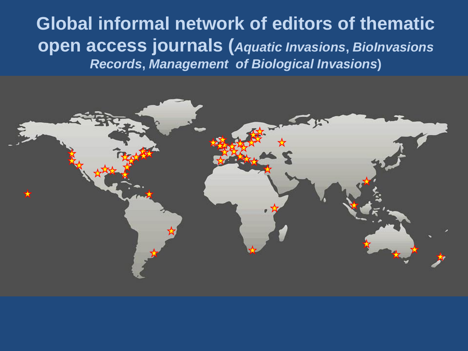**Global informal network of editors of thematic open access journals (***Aquatic Invasions***,** *BioInvasions Records***,** *Management of Biological Invasions***)**

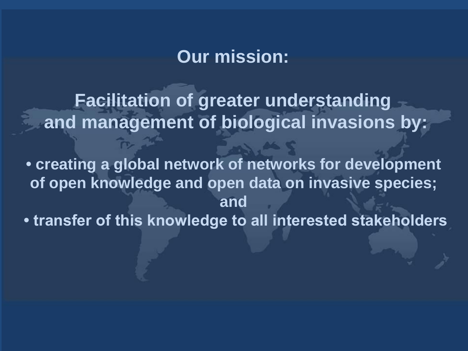#### **Our mission:**

**Facilitation of greater understanding and management of biological invasions by:**

**• creating a global network of networks for development of open knowledge and open data on invasive species; and • transfer of this knowledge to all interested stakeholders**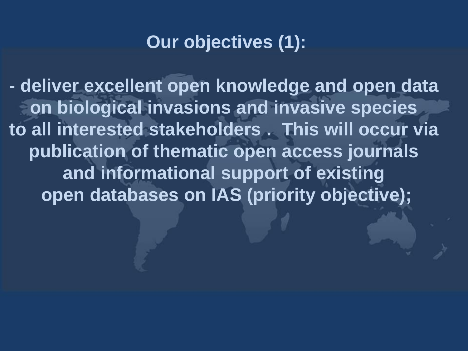### **Our objectives (1):**

**- deliver excellent open knowledge and open data on biological invasions and invasive species to all interested stakeholders . This will occur via publication of thematic open access journals and informational support of existing open databases on IAS (priority objective);**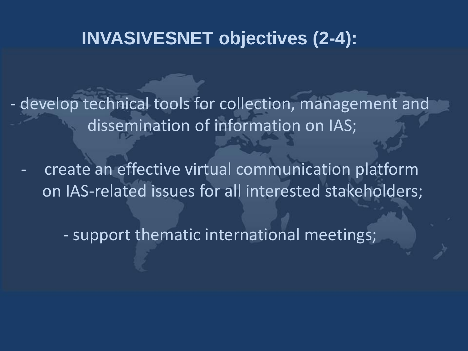### **INVASIVESNET objectives (2-4):**

- develop technical tools for collection, management and dissemination of information on IAS;

create an effective virtual communication platform on IAS-related issues for all interested stakeholders;

- support thematic international meetings;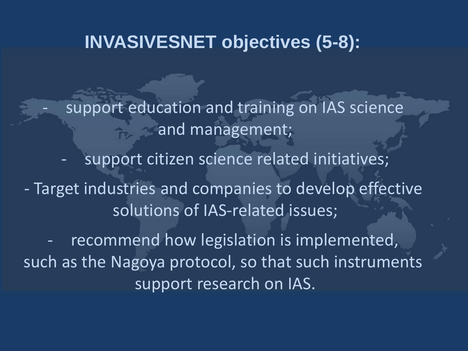### **INVASIVESNET objectives (5-8):**

support education and training on IAS science and management; support citizen science related initiatives;

- Target industries and companies to develop effective solutions of IAS-related issues;

recommend how legislation is implemented, such as the Nagoya protocol, so that such instruments support research on IAS.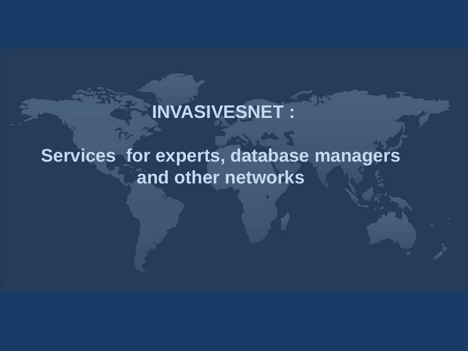# **INVASIVESNET :**

# **Services for experts, database managers and other networks**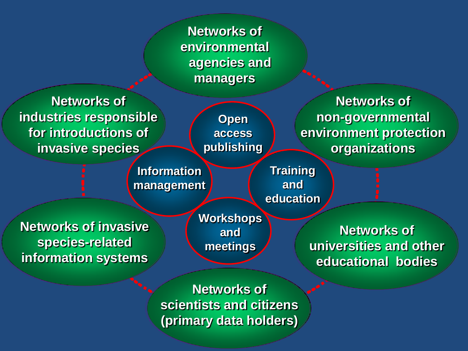**Networks of environmental agencies and managers**

**Networks of industries responsible for introductions of invasive species**

**Open access publishing**

**Information management**

**Networks of non-governmental environment protection organizations**

**Training and education**

**Networks of invasive species-related information systems** 

**Workshops and meetings**

**Networks of universities and other educational bodies**

**Networks of scientists and citizens (primary data holders)**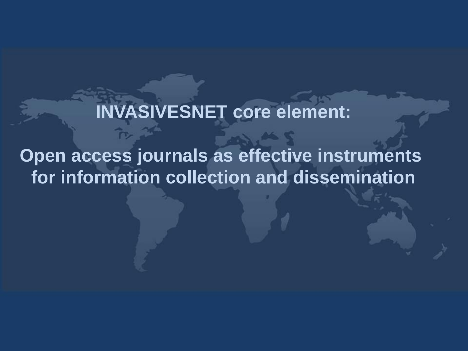**INVASIVESNET core element:**

**Open access journals as effective instruments for information collection and dissemination**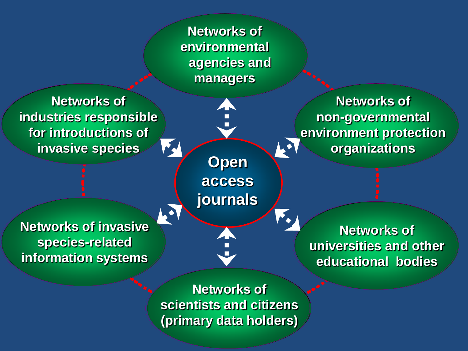**Networks of environmental agencies and managers**

**Networks of industries responsible for introductions of invasive species**

**Networks of invasive species-related information systems** 

 $\mathbf{L}$ **Open access journals**

4

**Networks of non-governmental environment protection organizations**

**Networks of universities and other educational bodies**

**Networks of scientists and citizens (primary data holders)**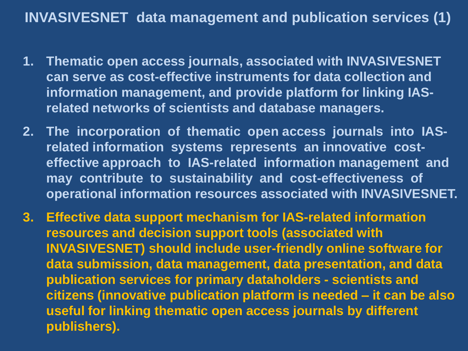#### **INVASIVESNET data management and publication services (1)**

- **1. Thematic open access journals, associated with INVASIVESNET can serve as cost-effective instruments for data collection and information management, and provide platform for linking IASrelated networks of scientists and database managers.**
- **2. The incorporation of thematic open access journals into IASrelated information systems represents an innovative costeffective approach to IAS-related information management and may contribute to sustainability and cost-effectiveness of operational information resources associated with INVASIVESNET.**
- **3. Effective data support mechanism for IAS-related information resources and decision support tools (associated with INVASIVESNET) should include user-friendly online software for data submission, data management, data presentation, and data publication services for primary dataholders - scientists and citizens (innovative publication platform is needed – it can be also useful for linking thematic open access journals by different publishers).**